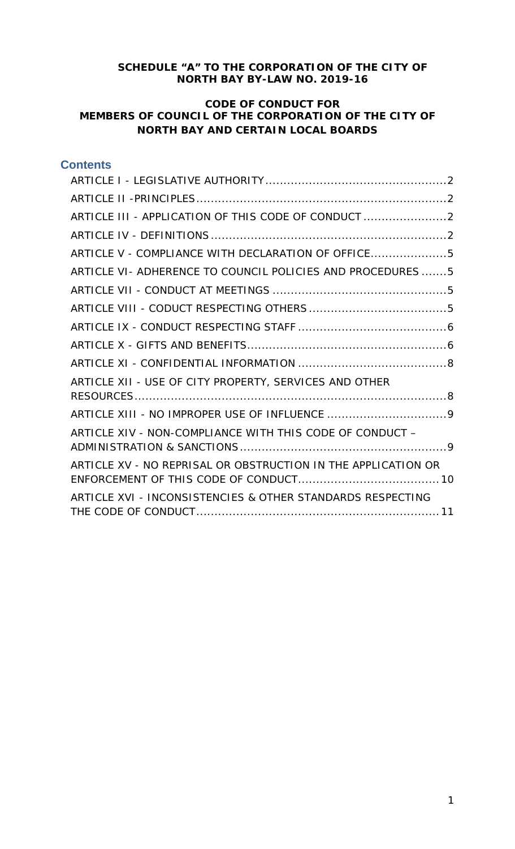#### **SCHEDULE "A" TO THE CORPORATION OF THE CITY OF NORTH BAY BY-LAW NO. 2019-16**

## **CODE OF CONDUCT FOR MEMBERS OF COUNCIL OF THE CORPORATION OF THE CITY OF NORTH BAY AND CERTAIN LOCAL BOARDS**

## **Contents**

| ARTICLE III - APPLICATION OF THIS CODE OF CONDUCT 2           |  |
|---------------------------------------------------------------|--|
|                                                               |  |
| ARTICLE V - COMPLIANCE WITH DECLARATION OF OFFICE5            |  |
| ARTICLE VI- ADHERENCE TO COUNCIL POLICIES AND PROCEDURES 5    |  |
|                                                               |  |
|                                                               |  |
|                                                               |  |
|                                                               |  |
|                                                               |  |
| ARTICLE XII - USE OF CITY PROPERTY, SERVICES AND OTHER        |  |
|                                                               |  |
| ARTICLE XIV - NON-COMPLIANCE WITH THIS CODE OF CONDUCT -      |  |
| ARTICLE XV - NO REPRISAL OR OBSTRUCTION IN THE APPLICATION OR |  |
| ARTICLE XVI - INCONSISTENCIES & OTHER STANDARDS RESPECTING    |  |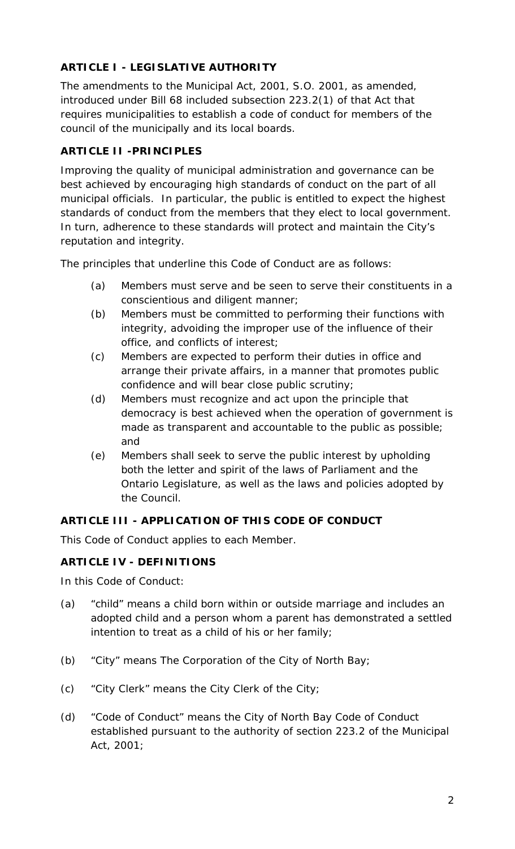# <span id="page-1-0"></span>**ARTICLE I - LEGISLATIVE AUTHORITY**

The amendments to the *Municipal Act, 2001*, S.O. 2001, as amended, introduced under Bill 68 included subsection 223.2(1) of that Act that requires municipalities to establish a code of conduct for members of the council of the municipally and its local boards.

## <span id="page-1-1"></span>**ARTICLE II -PRINCIPLES**

Improving the quality of municipal administration and governance can be best achieved by encouraging high standards of conduct on the part of all municipal officials. In particular, the public is entitled to expect the highest standards of conduct from the members that they elect to local government. In turn, adherence to these standards will protect and maintain the City's reputation and integrity.

The principles that underline this Code of Conduct are as follows:

- (a) Members must serve and be seen to serve their constituents in a conscientious and diligent manner;
- (b) Members must be committed to performing their functions with integrity, advoiding the improper use of the influence of their office, and conflicts of interest;
- (c) Members are expected to perform their duties in office and arrange their private affairs, in a manner that promotes public confidence and will bear close public scrutiny;
- (d) Members must recognize and act upon the principle that democracy is best achieved when the operation of government is made as transparent and accountable to the public as possible; and
- (e) Members shall seek to serve the public interest by upholding both the letter and spirit of the laws of Parliament and the Ontario Legislature, as well as the laws and policies adopted by the Council.

## <span id="page-1-2"></span>**ARTICLE III - APPLICATION OF THIS CODE OF CONDUCT**

This Code of Conduct applies to each Member.

## <span id="page-1-3"></span>**ARTICLE IV - DEFINITIONS**

In this Code of Conduct:

- (a) "child" means a child born within or outside marriage and includes an adopted child and a person whom a parent has demonstrated a settled intention to treat as a child of his or her family;
- (b) "City" means The Corporation of the City of North Bay;
- (c) "City Clerk" means the City Clerk of the City;
- (d) "Code of Conduct" means the City of North Bay Code of Conduct established pursuant to the authority of section 223.2 of the *Municipal Act, 2001*;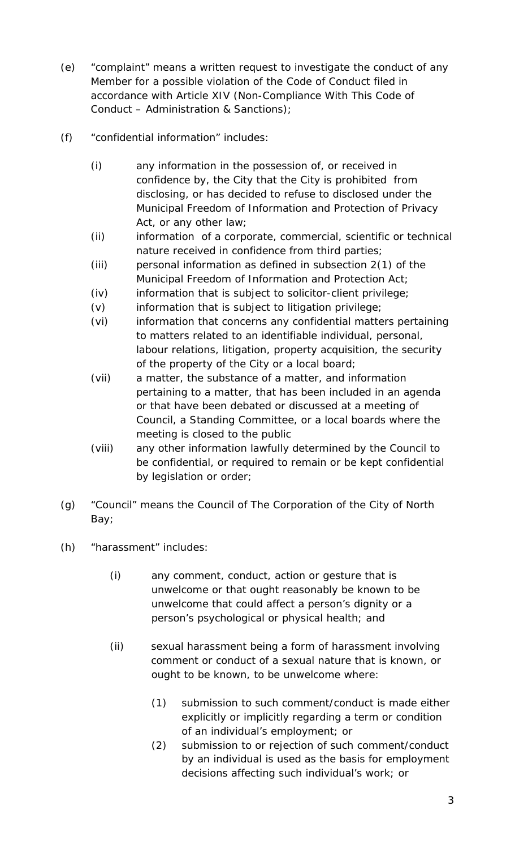- (e) "complaint" means a written request to investigate the conduct of any Member for a possible violation of the Code of Conduct filed in accordance with Article XIV (Non-Compliance With This Code of Conduct – Administration & Sanctions);
- (f) "confidential information" includes:
	- (i) any information in the possession of, or received in confidence by, the City that the City is prohibited from disclosing, or has decided to refuse to disclosed under the *Municipal Freedom of Information and Protection of Privacy Act*, or any other law;
	- (ii) information of a corporate, commercial, scientific or technical nature received in confidence from third parties;
	- (iii) personal information as defined in subsection 2(1) of the *Municipal Freedom of Information and Protection Act*;
	- (iv) information that is subject to solicitor-client privilege;
	- (v) information that is subject to litigation privilege;
	- (vi) information that concerns any confidential matters pertaining to matters related to an identifiable individual, personal, labour relations, litigation, property acquisition, the security of the property of the City or a local board;
	- (vii) a matter, the substance of a matter, and information pertaining to a matter, that has been included in an agenda or that have been debated or discussed at a meeting of Council, a Standing Committee, or a local boards where the meeting is closed to the public
	- (viii) any other information lawfully determined by the Council to be confidential, or required to remain or be kept confidential by legislation or order;
- (g) "Council" means the Council of The Corporation of the City of North Bay;
- (h) "harassment" includes:
	- (i) any comment, conduct, action or gesture that is unwelcome or that ought reasonably be known to be unwelcome that could affect a person's dignity or a person's psychological or physical health; and
	- (ii) sexual harassment being a form of harassment involving comment or conduct of a sexual nature that is known, or ought to be known, to be unwelcome where:
		- (1) submission to such comment/conduct is made either explicitly or implicitly regarding a term or condition of an individual's employment; or
		- (2) submission to or rejection of such comment/conduct by an individual is used as the basis for employment decisions affecting such individual's work; or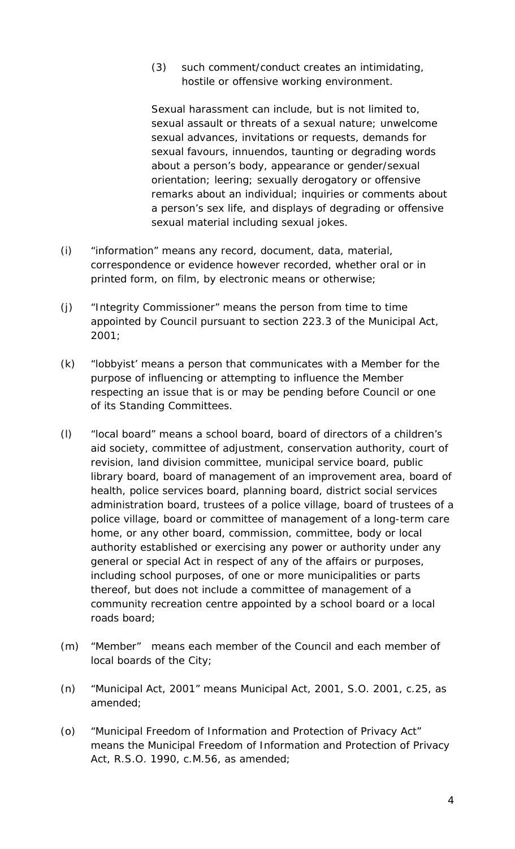(3) such comment/conduct creates an intimidating, hostile or offensive working environment.

Sexual harassment can include, but is not limited to, sexual assault or threats of a sexual nature; unwelcome sexual advances, invitations or requests, demands for sexual favours, innuendos, taunting or degrading words about a person's body, appearance or gender/sexual orientation; leering; sexually derogatory or offensive remarks about an individual; inquiries or comments about a person's sex life, and displays of degrading or offensive sexual material including sexual jokes.

- (i) "information" means any record, document, data, material, correspondence or evidence however recorded, whether oral or in printed form, on film, by electronic means or otherwise;
- (j) "Integrity Commissioner" means the person from time to time appointed by Council pursuant to section 223.3 of the Municipal Act, 2001;
- (k) "lobbyist' means a person that communicates with a Member for the purpose of influencing or attempting to influence the Member respecting an issue that is or may be pending before Council or one of its Standing Committees.
- (l) "local board" means a school board, board of directors of a children's aid society, committee of adjustment, conservation authority, court of revision, land division committee, municipal service board, public library board, board of management of an improvement area, board of health, police services board, planning board, district social services administration board, trustees of a police village, board of trustees of a police village, board or committee of management of a long-term care home, or any other board, commission, committee, body or local authority established or exercising any power or authority under any general or special Act in respect of any of the affairs or purposes, including school purposes, of one or more municipalities or parts thereof, but does not include a committee of management of a community recreation centre appointed by a school board or a local roads board;
- (m) "Member" means each member of the Council and each member of local boards of the City;
- (n) "*Municipal Act, 2001*" means *Municipal Act, 2001*, S.O. 2001, c.25, as amended;
- (o) "*Municipal Freedom of Information and Protection of Privacy Act*" means the *Municipal Freedom of Information and Protection of Privacy Act*, R.S.O. 1990, c.M.56, as amended;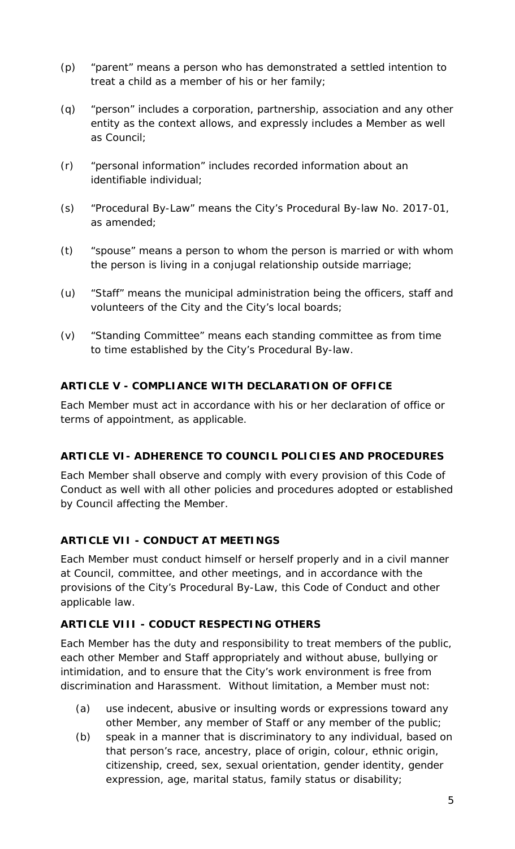- (p) "parent" means a person who has demonstrated a settled intention to treat a child as a member of his or her family;
- (q) "person" includes a corporation, partnership, association and any other entity as the context allows, and expressly includes a Member as well as Council;
- (r) "personal information" includes recorded information about an identifiable individual;
- (s) "Procedural By-Law" means the City's Procedural By-law No. 2017-01, as amended;
- (t) "spouse" means a person to whom the person is married or with whom the person is living in a conjugal relationship outside marriage;
- (u) "Staff" means the municipal administration being the officers, staff and volunteers of the City and the City's local boards;
- (v) "Standing Committee" means each standing committee as from time to time established by the City's Procedural By-law.

## <span id="page-4-0"></span>**ARTICLE V - COMPLIANCE WITH DECLARATION OF OFFICE**

Each Member must act in accordance with his or her declaration of office or terms of appointment, as applicable.

## <span id="page-4-1"></span>**ARTICLE VI- ADHERENCE TO COUNCIL POLICIES AND PROCEDURES**

Each Member shall observe and comply with every provision of this Code of Conduct as well with all other policies and procedures adopted or established by Council affecting the Member.

## <span id="page-4-2"></span>**ARTICLE VII - CONDUCT AT MEETINGS**

Each Member must conduct himself or herself properly and in a civil manner at Council, committee, and other meetings, and in accordance with the provisions of the City's Procedural By-Law, this Code of Conduct and other applicable law.

#### <span id="page-4-3"></span>**ARTICLE VIII - CODUCT RESPECTING OTHERS**

Each Member has the duty and responsibility to treat members of the public, each other Member and Staff appropriately and without abuse, bullying or intimidation, and to ensure that the City's work environment is free from discrimination and Harassment. Without limitation, a Member must not:

- (a) use indecent, abusive or insulting words or expressions toward any other Member, any member of Staff or any member of the public;
- (b) speak in a manner that is discriminatory to any individual, based on that person's race, ancestry, place of origin, colour, ethnic origin, citizenship, creed, sex, sexual orientation, gender identity, gender expression, age, marital status, family status or disability;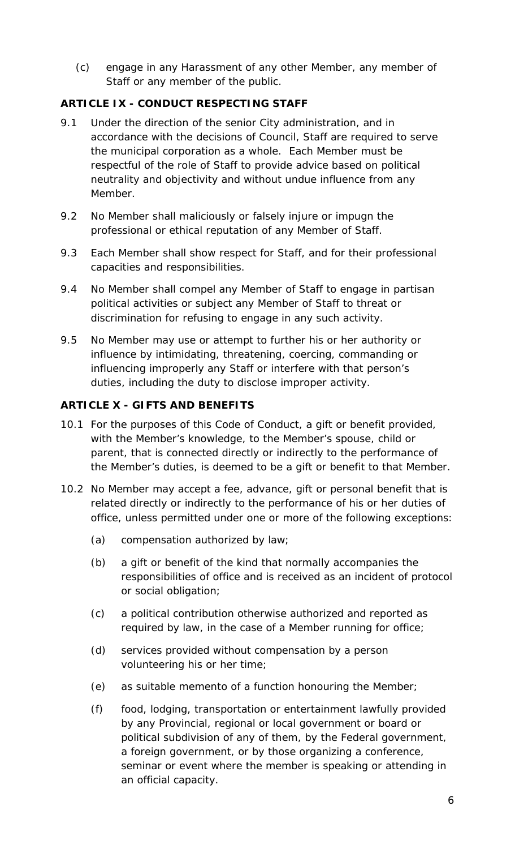(c) engage in any Harassment of any other Member, any member of Staff or any member of the public.

## <span id="page-5-0"></span>**ARTICLE IX - CONDUCT RESPECTING STAFF**

- 9.1 Under the direction of the senior City administration, and in accordance with the decisions of Council, Staff are required to serve the municipal corporation as a whole. Each Member must be respectful of the role of Staff to provide advice based on political neutrality and objectivity and without undue influence from any Member.
- 9.2 No Member shall maliciously or falsely injure or impugn the professional or ethical reputation of any Member of Staff.
- 9.3 Each Member shall show respect for Staff, and for their professional capacities and responsibilities.
- 9.4 No Member shall compel any Member of Staff to engage in partisan political activities or subject any Member of Staff to threat or discrimination for refusing to engage in any such activity.
- 9.5 No Member may use or attempt to further his or her authority or influence by intimidating, threatening, coercing, commanding or influencing improperly any Staff or interfere with that person's duties, including the duty to disclose improper activity.

# <span id="page-5-1"></span>**ARTICLE X - GIFTS AND BENEFITS**

- 10.1 For the purposes of this Code of Conduct, a gift or benefit provided, with the Member's knowledge, to the Member's spouse, child or parent, that is connected directly or indirectly to the performance of the Member's duties, is deemed to be a gift or benefit to that Member.
- 10.2 No Member may accept a fee, advance, gift or personal benefit that is related directly or indirectly to the performance of his or her duties of office, unless permitted under one or more of the following exceptions:
	- (a) compensation authorized by law;
	- (b) a gift or benefit of the kind that normally accompanies the responsibilities of office and is received as an incident of protocol or social obligation;
	- (c) a political contribution otherwise authorized and reported as required by law, in the case of a Member running for office;
	- (d) services provided without compensation by a person volunteering his or her time;
	- (e) as suitable memento of a function honouring the Member;
	- (f) food, lodging, transportation or entertainment lawfully provided by any Provincial, regional or local government or board or political subdivision of any of them, by the Federal government, a foreign government, or by those organizing a conference, seminar or event where the member is speaking or attending in an official capacity.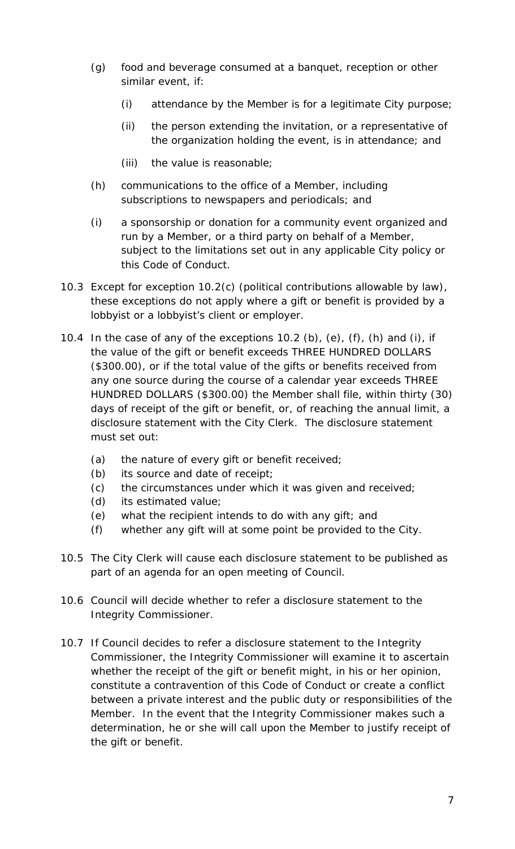- (g) food and beverage consumed at a banquet, reception or other similar event, if:
	- (i) attendance by the Member is for a legitimate City purpose;
	- (ii) the person extending the invitation, or a representative of the organization holding the event, is in attendance; and
	- (iii) the value is reasonable;
- (h) communications to the office of a Member, including subscriptions to newspapers and periodicals; and
- (i) a sponsorship or donation for a community event organized and run by a Member, or a third party on behalf of a Member, subject to the limitations set out in any applicable City policy or this Code of Conduct.
- 10.3 Except for exception 10.2(c) (political contributions allowable by law), these exceptions do not apply where a gift or benefit is provided by a lobbyist or a lobbyist's client or employer.
- 10.4 In the case of any of the exceptions 10.2 (b), (e), (f), (h) and (i), if the value of the gift or benefit exceeds THREE HUNDRED DOLLARS (\$300.00), or if the total value of the gifts or benefits received from any one source during the course of a calendar year exceeds THREE HUNDRED DOLLARS (\$300.00) the Member shall file, within thirty (30) days of receipt of the gift or benefit, or, of reaching the annual limit, a disclosure statement with the City Clerk. The disclosure statement must set out:
	- (a) the nature of every gift or benefit received;
	- (b) its source and date of receipt;
	- (c) the circumstances under which it was given and received;
	- (d) its estimated value;
	- (e) what the recipient intends to do with any gift; and
	- (f) whether any gift will at some point be provided to the City.
- 10.5 The City Clerk will cause each disclosure statement to be published as part of an agenda for an open meeting of Council.
- 10.6 Council will decide whether to refer a disclosure statement to the Integrity Commissioner.
- 10.7 If Council decides to refer a disclosure statement to the Integrity Commissioner, the Integrity Commissioner will examine it to ascertain whether the receipt of the gift or benefit might, in his or her opinion, constitute a contravention of this Code of Conduct or create a conflict between a private interest and the public duty or responsibilities of the Member. In the event that the Integrity Commissioner makes such a determination, he or she will call upon the Member to justify receipt of the gift or benefit.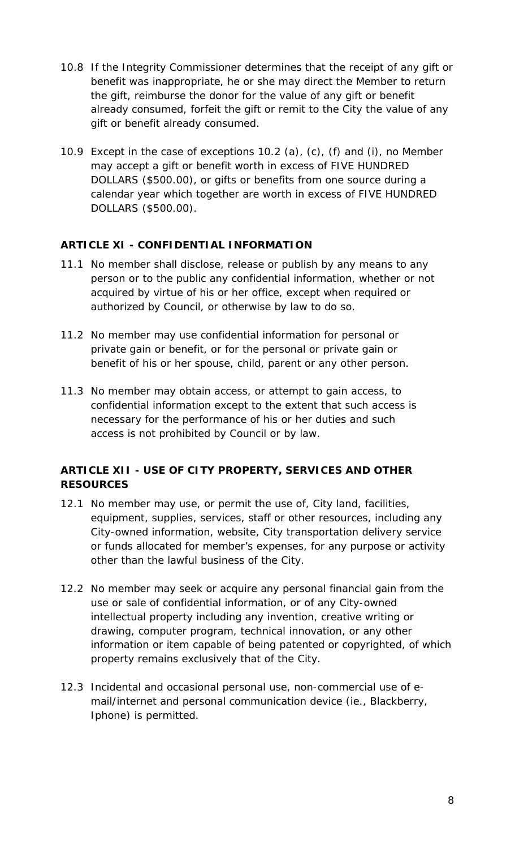- 10.8 If the Integrity Commissioner determines that the receipt of any gift or benefit was inappropriate, he or she may direct the Member to return the gift, reimburse the donor for the value of any gift or benefit already consumed, forfeit the gift or remit to the City the value of any gift or benefit already consumed.
- 10.9 Except in the case of exceptions 10.2 (a), (c), (f) and (i), no Member may accept a gift or benefit worth in excess of FIVE HUNDRED DOLLARS (\$500.00), or gifts or benefits from one source during a calendar year which together are worth in excess of FIVE HUNDRED DOLLARS (\$500.00).

## <span id="page-7-0"></span>**ARTICLE XI - CONFIDENTIAL INFORMATION**

- 11.1 No member shall disclose, release or publish by any means to any person or to the public any confidential information, whether or not acquired by virtue of his or her office, except when required or authorized by Council, or otherwise by law to do so.
- 11.2 No member may use confidential information for personal or private gain or benefit, or for the personal or private gain or benefit of his or her spouse, child, parent or any other person.
- 11.3 No member may obtain access, or attempt to gain access, to confidential information except to the extent that such access is necessary for the performance of his or her duties and such access is not prohibited by Council or by law.

## <span id="page-7-1"></span>**ARTICLE XII - USE OF CITY PROPERTY, SERVICES AND OTHER RESOURCES**

- 12.1 No member may use, or permit the use of, City land, facilities, equipment, supplies, services, staff or other resources, including any City-owned information, website, City transportation delivery service or funds allocated for member's expenses, for any purpose or activity other than the lawful business of the City.
- 12.2 No member may seek or acquire any personal financial gain from the use or sale of confidential information, or of any City-owned intellectual property including any invention, creative writing or drawing, computer program, technical innovation, or any other information or item capable of being patented or copyrighted, of which property remains exclusively that of the City.
- <span id="page-7-2"></span>12.3 Incidental and occasional personal use, non-commercial use of email/internet and personal communication device (ie., Blackberry, Iphone) is permitted.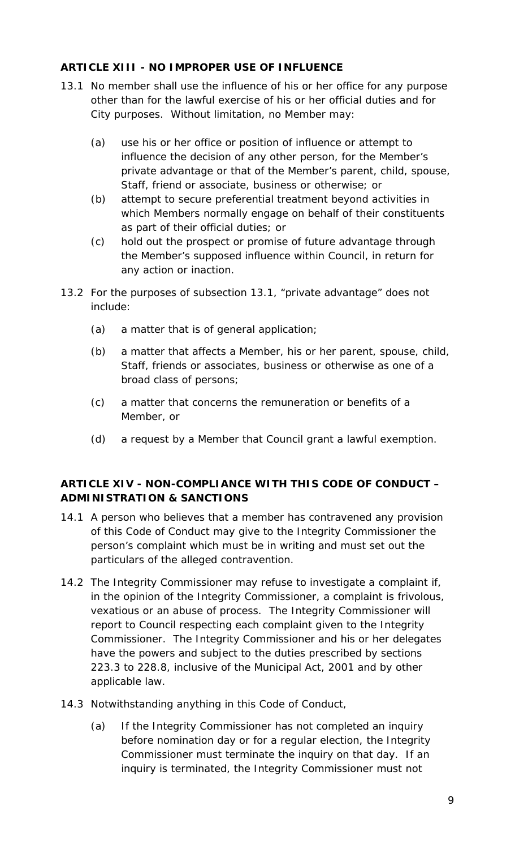## **ARTICLE XIII - NO IMPROPER USE OF INFLUENCE**

- 13.1 No member shall use the influence of his or her office for any purpose other than for the lawful exercise of his or her official duties and for City purposes. Without limitation, no Member may:
	- (a) use his or her office or position of influence or attempt to influence the decision of any other person, for the Member's private advantage or that of the Member's parent, child, spouse, Staff, friend or associate, business or otherwise; or
	- (b) attempt to secure preferential treatment beyond activities in which Members normally engage on behalf of their constituents as part of their official duties; or
	- (c) hold out the prospect or promise of future advantage through the Member's supposed influence within Council, in return for any action or inaction.
- 13.2 For the purposes of subsection 13.1, "private advantage" does not include:
	- (a) a matter that is of general application;
	- (b) a matter that affects a Member, his or her parent, spouse, child, Staff, friends or associates, business or otherwise as one of a broad class of persons;
	- (c) a matter that concerns the remuneration or benefits of a Member, or
	- (d) a request by a Member that Council grant a lawful exemption.

# <span id="page-8-0"></span>**ARTICLE XIV - NON-COMPLIANCE WITH THIS CODE OF CONDUCT – ADMINISTRATION & SANCTIONS**

- 14.1 A person who believes that a member has contravened any provision of this Code of Conduct may give to the Integrity Commissioner the person's complaint which must be in writing and must set out the particulars of the alleged contravention.
- 14.2 The Integrity Commissioner may refuse to investigate a complaint if, in the opinion of the Integrity Commissioner, a complaint is frivolous, vexatious or an abuse of process. The Integrity Commissioner will report to Council respecting each complaint given to the Integrity Commissioner. The Integrity Commissioner and his or her delegates have the powers and subject to the duties prescribed by sections 223.3 to 228.8, inclusive of the *Municipal Act, 2001* and by other applicable law.
- 14.3 Notwithstanding anything in this Code of Conduct,
	- (a) If the Integrity Commissioner has not completed an inquiry before nomination day or for a regular election, the Integrity Commissioner must terminate the inquiry on that day. If an inquiry is terminated, the Integrity Commissioner must not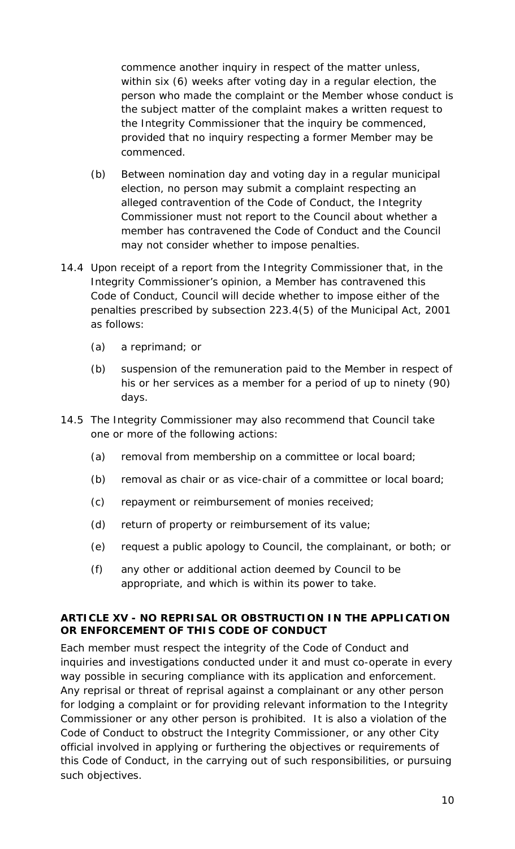commence another inquiry in respect of the matter unless, within six (6) weeks after voting day in a regular election, the person who made the complaint or the Member whose conduct is the subject matter of the complaint makes a written request to the Integrity Commissioner that the inquiry be commenced, provided that no inquiry respecting a former Member may be commenced.

- (b) Between nomination day and voting day in a regular municipal election, no person may submit a complaint respecting an alleged contravention of the Code of Conduct, the Integrity Commissioner must not report to the Council about whether a member has contravened the Code of Conduct and the Council may not consider whether to impose penalties.
- 14.4 Upon receipt of a report from the Integrity Commissioner that, in the Integrity Commissioner's opinion, a Member has contravened this Code of Conduct, Council will decide whether to impose either of the penalties prescribed by subsection 223.4(5) of the Municipal Act, 2001 as follows:
	- (a) a reprimand; or
	- (b) suspension of the remuneration paid to the Member in respect of his or her services as a member for a period of up to ninety (90) days.
- 14.5 The Integrity Commissioner may also recommend that Council take one or more of the following actions:
	- (a) removal from membership on a committee or local board;
	- (b) removal as chair or as vice-chair of a committee or local board;
	- (c) repayment or reimbursement of monies received;
	- (d) return of property or reimbursement of its value;
	- (e) request a public apology to Council, the complainant, or both; or
	- (f) any other or additional action deemed by Council to be appropriate, and which is within its power to take.

#### <span id="page-9-0"></span>**ARTICLE XV - NO REPRISAL OR OBSTRUCTION IN THE APPLICATION OR ENFORCEMENT OF THIS CODE OF CONDUCT**

Each member must respect the integrity of the Code of Conduct and inquiries and investigations conducted under it and must co-operate in every way possible in securing compliance with its application and enforcement. Any reprisal or threat of reprisal against a complainant or any other person for lodging a complaint or for providing relevant information to the Integrity Commissioner or any other person is prohibited. It is also a violation of the Code of Conduct to obstruct the Integrity Commissioner, or any other City official involved in applying or furthering the objectives or requirements of this Code of Conduct, in the carrying out of such responsibilities, or pursuing such objectives.